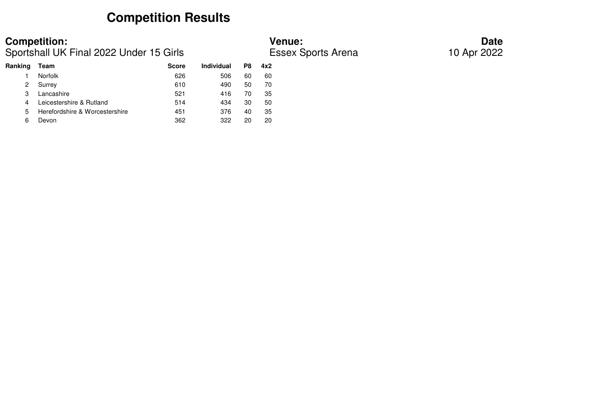## **Competition Results**

### Sportshall UK Final 2022 Under 15 Girls Essex Sports Arena 10 Apr 2022

## **Competition: Venue: Date**

| Ranking | Team                           | <b>Score</b> | Individual | P8 | 4x2 |
|---------|--------------------------------|--------------|------------|----|-----|
|         | <b>Norfolk</b>                 | 626          | 506        | 60 | 60  |
| 2       | Surrey                         | 610          | 490        | 50 | 70  |
| 3       | Lancashire                     | 521          | 416        | 70 | 35  |
| 4       | Leicestershire & Rutland       | 514          | 434        | 30 | 50  |
| 5       | Herefordshire & Worcestershire | 451          | 376        | 40 | 35  |
| 6       | Devon                          | 362          | 322        | 20 | 20  |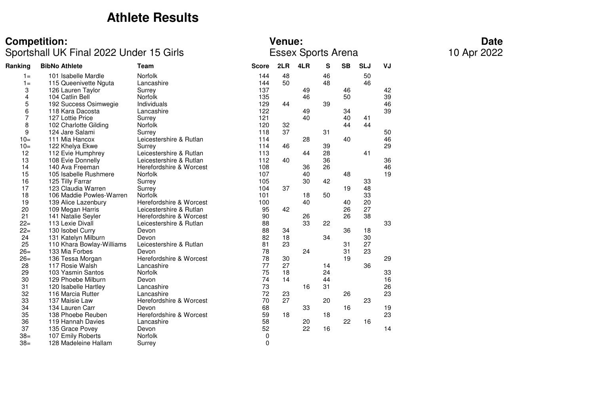### **Athlete Results**

### **Competition: Venue: Date**

### Sportshall UK Final 2022 Under 15 Girls Essex Sports Arena 10 Apr 2022

| Ranking | <b>BibNo Athlete</b>      | Team                    | <b>Score</b> | 2LR | 4LR | S  | <b>SB</b> | <b>SLJ</b> | VJ |
|---------|---------------------------|-------------------------|--------------|-----|-----|----|-----------|------------|----|
| $1 =$   | 101 Isabelle Mardle       | <b>Norfolk</b>          | 144          | 48  |     | 46 |           | 50         |    |
| $1 =$   | 115 Queenivette Nguta     | Lancashire              | 144          | 50  |     | 48 |           | 46         |    |
| 3       | 126 Lauren Taylor         | Surrey                  | 137          |     | 49  |    | 46        |            | 42 |
| 4       | 104 Catlin Bell           | <b>Norfolk</b>          | 135          |     | 46  |    | 50        |            | 39 |
| 5       | 192 Success Osimwegie     | Individuals             | 129          | 44  |     | 39 |           |            | 46 |
| 6       | 118 Kara Dacosta          | Lancashire              | 122          |     | 49  |    | 34        |            | 39 |
| 7       | 127 Lottie Price          | Surrey                  | 121          |     | 40  |    | 40        | 41         |    |
| 8       | 102 Charlotte Gilding     | <b>Norfolk</b>          | 120          | 32  |     |    | 44        | 44         |    |
| 9       | 124 Jare Salami           | Surrey                  | 118          | 37  |     | 31 |           |            | 50 |
| $10=$   | 111 Mia Hancox            | Leicestershire & Rutlan | 114          |     | 28  |    | 40        |            | 46 |
| $10=$   | 122 Khelya Ekwe           | Surrey                  | 114          | 46  |     | 39 |           |            | 29 |
| 12      | 112 Evie Humphrey         | Leicestershire & Rutlan | 113          |     | 44  | 28 |           | 41         |    |
| 13      | 108 Evie Donnelly         | Leicestershire & Rutlan | 112          | 40  |     | 36 |           |            | 36 |
| 14      | 140 Ava Freeman           | Herefordshire & Worcest | 108          |     | 36  | 26 |           |            | 46 |
| 15      | 105 Isabelle Rushmere     | <b>Norfolk</b>          | 107          |     | 40  |    | 48        |            | 19 |
| 16      | 125 Tilly Farrar          | Surrey                  | 105          |     | 30  | 42 |           | 33         |    |
| 17      | 123 Claudia Warren        | Surrey                  | 104          | 37  |     |    | 19        | 48         |    |
| 18      | 106 Maddie Powles-Warren  | <b>Norfolk</b>          | 101          |     | 18  | 50 |           | 33         |    |
| 19      | 139 Alice Lazenbury       | Herefordshire & Worcest | 100          |     | 40  |    | 40        | 20         |    |
| 20      | 109 Megan Harris          | Leicestershire & Rutlan | 95           | 42  |     |    | 26        | 27         |    |
| 21      | 141 Natalie Seyler        | Herefordshire & Worcest | 90           |     | 26  |    | 26        | 38         |    |
| $22=$   | 113 Lexie Divall          | Leicestershire & Rutlan | 88           |     | 33  | 22 |           |            | 33 |
| $22 =$  | 130 Isobel Curry          | Devon                   | 88           | 34  |     |    | 36        | 18         |    |
| 24      | 131 Katelyn Milburn       | Devon                   | 82           | 18  |     | 34 |           | 30         |    |
| 25      | 110 Khara Bowlay-Williams | Leicestershire & Rutlan | 81           | 23  |     |    | 31        | 27         |    |
| $26=$   | 133 Mia Forbes            | Devon                   | 78           |     | 24  |    | 31        | 23         |    |
| $26=$   | 136 Tessa Morgan          | Herefordshire & Worcest | 78           | 30  |     |    | 19        |            | 29 |
| 28      | 117 Rosie Walsh           | Lancashire              | 77           | 27  |     | 14 |           | 36         |    |
| 29      | 103 Yasmin Santos         | <b>Norfolk</b>          | 75           | 18  |     | 24 |           |            | 33 |
| 30      | 129 Phoebe Milburn        | Devon                   | 74           | 14  |     | 44 |           |            | 16 |
| 31      | 120 Isabelle Hartley      | Lancashire              | 73           |     | 16  | 31 |           |            | 26 |
| 32      | 116 Marcia Rutter         | Lancashire              | 72           | 23  |     |    | 26        |            | 23 |
| 33      | 137 Maisie Law            | Herefordshire & Worcest | 70           | 27  |     | 20 |           | 23         |    |
| 34      | 134 Lauren Carr           | Devon                   | 68           |     | 33  |    | 16        |            | 19 |
| 35      | 138 Phoebe Reuben         | Herefordshire & Worcest | 59           | 18  |     | 18 |           |            | 23 |
| 36      | 119 Hannah Davies         | Lancashire              | 58           |     | 20  |    | 22        | 16         |    |
| 37      | 135 Grace Povey           | Devon                   | 52           |     | 22  | 16 |           |            | 14 |
| $38=$   | 107 Emily Roberts         | <b>Norfolk</b>          | 0            |     |     |    |           |            |    |
| $38=$   | 128 Madeleine Hallam      | Surrey                  | 0            |     |     |    |           |            |    |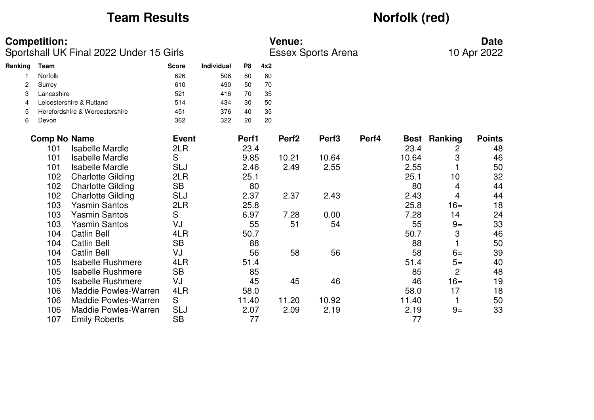## **Team Results** *Norfolk (red)*

### **Competition: Venue: Date**

Sportshall UK Final 2022 Under 15 Girls Essex Sports Arena 10 Apr 2022

| Ranking | Team                           | <b>Score</b> | <b>Individual</b> | P8 | 4x2 |
|---------|--------------------------------|--------------|-------------------|----|-----|
|         | <b>Norfolk</b>                 | 626          | 506               | 60 | 60  |
| 2       | Surrey                         | 610          | 490               | 50 | 70  |
| 3       | Lancashire                     | 521          | 416               | 70 | 35  |
| 4       | Leicestershire & Rutland       | 514          | 434               | 30 | 50  |
| 5       | Herefordshire & Worcestershire | 451          | 376               | 40 | 35  |
| 6       | Devon                          | 362          | 322               | 20 | 20  |
|         |                                |              |                   |    |     |

| <b>Comp No Name</b> |                             | <b>Event</b> | Perf1 | Perf <sub>2</sub> | Perf <sub>3</sub> | Perf4 |       | <b>Best Ranking</b> | <b>Points</b> |
|---------------------|-----------------------------|--------------|-------|-------------------|-------------------|-------|-------|---------------------|---------------|
| 101                 | <b>Isabelle Mardle</b>      | 2LR          | 23.4  |                   |                   |       | 23.4  |                     | 48            |
| 101                 | <b>Isabelle Mardle</b>      | S            | 9.85  | 10.21             | 10.64             |       | 10.64 |                     | 46            |
| 101                 | <b>Isabelle Mardle</b>      | <b>SLJ</b>   | 2.46  | 2.49              | 2.55              |       | 2.55  |                     | 50            |
| 102                 | <b>Charlotte Gilding</b>    | 2LR          | 25.1  |                   |                   |       | 25.1  | 10                  | 32            |
| 102                 | <b>Charlotte Gilding</b>    | <b>SB</b>    | 80    |                   |                   |       | 80    | 4                   | 44            |
| 102                 | <b>Charlotte Gilding</b>    | <b>SLJ</b>   | 2.37  | 2.37              | 2.43              |       | 2.43  | 4                   | 44            |
| 103                 | <b>Yasmin Santos</b>        | 2LR          | 25.8  |                   |                   |       | 25.8  | $16=$               | 18            |
| 103                 | <b>Yasmin Santos</b>        | S            | 6.97  | 7.28              | 0.00              |       | 7.28  | 14                  | 24            |
| 103                 | <b>Yasmin Santos</b>        | VJ           | 55    | 51                | 54                |       | 55    | $9=$                | 33            |
| 104                 | <b>Catlin Bell</b>          | 4LR          | 50.7  |                   |                   |       | 50.7  | 3                   | 46            |
| 104                 | <b>Catlin Bell</b>          | <b>SB</b>    | 88    |                   |                   |       | 88    |                     | 50            |
| 104                 | <b>Catlin Bell</b>          | VJ           | 56    | 58                | 56                |       | 58    | $6=$                | 39            |
| 105                 | <b>Isabelle Rushmere</b>    | 4LR          | 51.4  |                   |                   |       | 51.4  | $5=$                | 40            |
| 105                 | <b>Isabelle Rushmere</b>    | <b>SB</b>    | 85    |                   |                   |       | 85    | 2                   | 48            |
| 105                 | <b>Isabelle Rushmere</b>    | VJ           | 45    | 45                | 46                |       | 46    | $16=$               | 19            |
| 106                 | <b>Maddie Powles-Warren</b> | 4LR          | 58.0  |                   |                   |       | 58.0  | 17                  | 18            |
| 106                 | Maddie Powles-Warren        | S            | 11.40 | 11.20             | 10.92             |       | 11.40 |                     | 50            |
| 106                 | <b>Maddie Powles-Warren</b> | <b>SLJ</b>   | 2.07  | 2.09              | 2.19              |       | 2.19  | $9=$                | 33            |
| 107                 | <b>Emily Roberts</b>        | <b>SB</b>    | 77    |                   |                   |       | 77    |                     |               |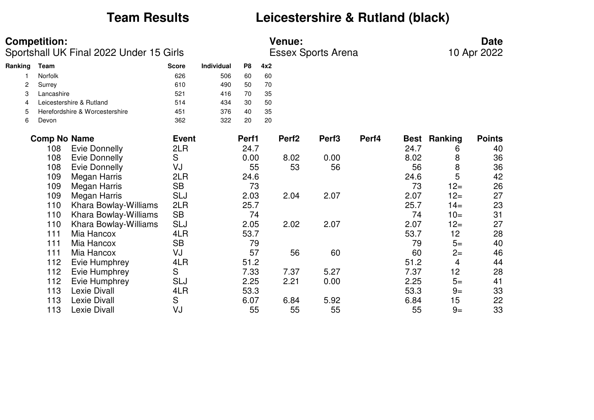112 Evie Humphrey 4LR 51.2

113 Lexie Divall **4LR** 53.3<br>113 Lexie Divall **113** Lexie Divall **113** 

### **Team Results Leicestershire & Rutland (black)**

2 51.2 4 44

53.3 9= <sup>33</sup>

**Competition: Venue: Date**Sportshall UK Final 2022 Under 15 Girls

10 Apr 2022

40

36

42

23

28

44

41

33

33

| Ranking | Team                |                                | <b>Score</b> | Individual | P <sub>8</sub> | 4x2 |                   |                   |       |             |         |               |
|---------|---------------------|--------------------------------|--------------|------------|----------------|-----|-------------------|-------------------|-------|-------------|---------|---------------|
|         | Norfolk             |                                | 626          | 506        | 60             | 60  |                   |                   |       |             |         |               |
| 2       | Surrey              |                                | 610          | 490        | 50             | 70  |                   |                   |       |             |         |               |
| 3       | Lancashire          |                                | 521          | 416        | 70             | 35  |                   |                   |       |             |         |               |
| 4       |                     | Leicestershire & Rutland       | 514          | 434        | 30             | 50  |                   |                   |       |             |         |               |
| 5.      |                     | Herefordshire & Worcestershire | 451          | 376        | 40             | 35  |                   |                   |       |             |         |               |
| 6       | Devon               |                                | 362          | 322        | 20             | 20  |                   |                   |       |             |         |               |
|         | <b>Comp No Name</b> |                                | <b>Event</b> |            | Perf1          |     | Perf <sub>2</sub> | Perf <sub>3</sub> | Perf4 | <b>Best</b> | Ranking | <b>Points</b> |
|         | 108                 | <b>Evie Donnelly</b>           | 2LR          |            | 24.7           |     |                   |                   |       | 24.7        | 6       | 40            |
|         | 108                 | <b>Evie Donnelly</b>           | S            |            | 0.00           |     | 8.02              | 0.00              |       | 8.02        | 8       | 36            |
|         | 108                 | <b>Evie Donnelly</b>           | VJ           |            | 55             |     | 53                | 56                |       | 56          | 8       | 36            |
|         | 109                 | Megan Harris                   | 2LR          |            | 24.6           |     |                   |                   |       | 24.6        | 5       | 42            |
|         | 109                 | Megan Harris                   | <b>SB</b>    |            | 73             |     |                   |                   |       | 73          | $12 =$  | 26            |
|         | 109                 | Megan Harris                   | SLJ          |            | 2.03           |     | 2.04              | 2.07              |       | 2.07        | $12 =$  | 27            |
|         | 110                 | Khara Bowlay-Williams          | 2LR          |            | 25.7           |     |                   |                   |       | 25.7        | $14=$   | 23            |
|         | 110                 | Khara Bowlay-Williams          | <b>SB</b>    |            | 74             |     |                   |                   |       | 74          | $10=$   | 31            |
|         | 110                 | Khara Bowlay-Williams          | <b>SLJ</b>   |            | 2.05           |     | 2.02              | 2.07              |       | 2.07        | $12 =$  | 27            |
|         | 111                 | Mia Hancox                     | 4LR          |            | 53.7           |     |                   |                   |       | 53.7        | 12      | 28            |
|         | 111                 | Mia Hancox                     | <b>SB</b>    |            | 79             |     |                   |                   |       | 79          | $5=$    | 40            |
|         | 111                 | Mia Hancox                     | VJ           |            | 57             |     | 56                | 60                |       | 60          | $2=$    | 46            |

112 Evie Humphrey 5 5.27 5.27 7.37 12 28<br>112 Evie Humphrey SLJ 2.25 2.21 0.00 2.25 5= 41

112 Evie Humphrey SLJ 2.25 2.21 0.00 2.25 5= <sup>41</sup>

113 Lexie Divall S 6.07 6.84 5.92 6.84 15 22

113 Lexie Divall VJ 55 55 55 55 9= 33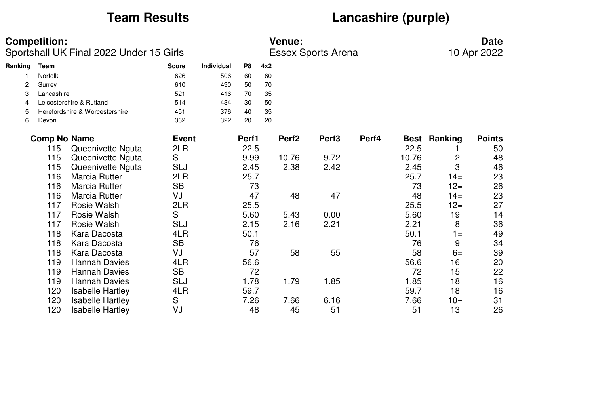## **Team Results Lancashire (purple)**

|         | <b>Competition:</b><br>Sportshall UK Final 2022 Under 15 Girls | <b>Venue:</b><br><b>Essex Sports Arena</b> |              |            |       |     |                   |                   | <b>Date</b><br>10 Apr 2022 |       |                     |               |
|---------|----------------------------------------------------------------|--------------------------------------------|--------------|------------|-------|-----|-------------------|-------------------|----------------------------|-------|---------------------|---------------|
| Ranking | <b>Team</b>                                                    |                                            | <b>Score</b> | Individual | P8    | 4x2 |                   |                   |                            |       |                     |               |
|         | Norfolk                                                        |                                            | 626          | 506        | 60    | 60  |                   |                   |                            |       |                     |               |
| 2       | Surrey                                                         |                                            | 610          | 490        | 50    | 70  |                   |                   |                            |       |                     |               |
| 3       | Lancashire                                                     |                                            | 521          | 416        | 70    | 35  |                   |                   |                            |       |                     |               |
| 4       |                                                                | Leicestershire & Rutland                   | 514          | 434        | 30    | 50  |                   |                   |                            |       |                     |               |
| 5       |                                                                | Herefordshire & Worcestershire             | 451          | 376        | 40    | 35  |                   |                   |                            |       |                     |               |
| 6       | Devon                                                          |                                            | 362          | 322        | 20    | 20  |                   |                   |                            |       |                     |               |
|         | <b>Comp No Name</b>                                            |                                            | <b>Event</b> |            | Perf1 |     | Perf <sub>2</sub> | Perf <sub>3</sub> | Perf4                      |       | <b>Best Ranking</b> | <b>Points</b> |
|         | 115                                                            | Queenivette Nguta                          | 2LR          |            | 22.5  |     |                   |                   |                            | 22.5  |                     | 50            |
|         | 115                                                            | Queenivette Nguta                          | S            |            | 9.99  |     | 10.76             | 9.72              |                            | 10.76 | 2                   | 48            |
|         | 115                                                            | Queenivette Nguta                          | <b>SLJ</b>   |            | 2.45  |     | 2.38              | 2.42              |                            | 2.45  | 3                   | 46            |
|         | 116                                                            | <b>Marcia Rutter</b>                       | 2LR          |            | 25.7  |     |                   |                   |                            | 25.7  | $14=$               | 23            |
|         | 116                                                            | Marcia Rutter                              | <b>SB</b>    |            | 73    |     |                   |                   |                            | 73    | $12 =$              | 26            |
|         | 116                                                            | <b>Marcia Rutter</b>                       | VJ           |            | 47    |     | 48                | 47                |                            | 48    | $14=$               | 23            |
|         | 117                                                            | Rosie Walsh                                | 2LR          |            | 25.5  |     |                   |                   |                            | 25.5  | $12 =$              | 27            |
|         | 117                                                            | Rosie Walsh                                | S            |            | 5.60  |     | 5.43              | 0.00              |                            | 5.60  | 19                  | 14            |
|         | 117                                                            | Rosie Walsh                                | <b>SLJ</b>   |            | 2.15  |     | 2.16              | 2.21              |                            | 2.21  | 8                   | 36            |
|         | 118                                                            | Kara Dacosta                               | 4LR          |            | 50.1  |     |                   |                   |                            | 50.1  | $1 =$               | 49            |
|         | 118                                                            | Kara Dacosta                               | <b>SB</b>    |            | 76    |     |                   |                   |                            | 76    | 9                   | 34            |
|         | 118                                                            | Kara Dacosta                               | VJ           |            | 57    |     | 58                | 55                |                            | 58    | $6=$                | 39            |
|         | 119                                                            | <b>Hannah Davies</b>                       | 4LR          |            | 56.6  |     |                   |                   |                            | 56.6  | 16                  | 20            |
|         | 119                                                            | <b>Hannah Davies</b>                       | <b>SB</b>    |            | 72    |     |                   |                   |                            | 72    | 15                  | 22            |
|         | 119                                                            | <b>Hannah Davies</b>                       | <b>SLJ</b>   |            | 1.78  |     | 1.79              | 1.85              |                            | 1.85  | 18                  | 16            |
|         | 120                                                            | <b>Isabelle Hartley</b>                    | 4LR          |            | 59.7  |     |                   |                   |                            | 59.7  | 18                  | 16            |
|         | 120                                                            | <b>Isabelle Hartley</b>                    | S            |            | 7.26  |     | 7.66              | 6.16              |                            | 7.66  | $10=$               | 31            |
|         | 120                                                            | <b>Isabelle Hartley</b>                    | VJ           |            | 48    |     | 45                | 51                |                            | 51    | 13                  | 26            |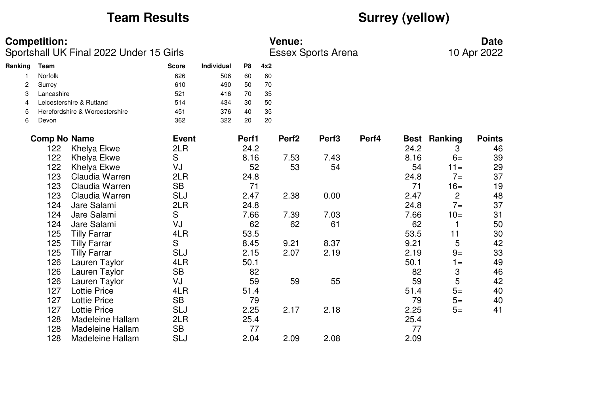## **Team Results CONSURGE 2008 Surrey (yellow)**

|         | <b>Competition:</b> |                                         |              |            |                |     | Venue:            | <b>Date</b>               |       |      |                     |               |
|---------|---------------------|-----------------------------------------|--------------|------------|----------------|-----|-------------------|---------------------------|-------|------|---------------------|---------------|
|         |                     | Sportshall UK Final 2022 Under 15 Girls |              |            |                |     |                   | <b>Essex Sports Arena</b> |       |      |                     | 10 Apr 2022   |
| Ranking | <b>Team</b>         |                                         | <b>Score</b> | Individual | P <sub>8</sub> | 4x2 |                   |                           |       |      |                     |               |
|         | Norfolk             |                                         | 626          | 506        | 60             | 60  |                   |                           |       |      |                     |               |
| 2       | Surrey              |                                         | 610          | 490        | 50             | 70  |                   |                           |       |      |                     |               |
| 3       | Lancashire          |                                         | 521          | 416        | 70             | 35  |                   |                           |       |      |                     |               |
| 4       |                     | Leicestershire & Rutland                | 514          | 434        | 30             | 50  |                   |                           |       |      |                     |               |
| 5       |                     | Herefordshire & Worcestershire          | 451          | 376        | 40             | 35  |                   |                           |       |      |                     |               |
| 6       | Devon               |                                         | 362          | 322        | 20             | 20  |                   |                           |       |      |                     |               |
|         | <b>Comp No Name</b> |                                         | <b>Event</b> |            | Perf1          |     | Perf <sub>2</sub> | Perf <sub>3</sub>         | Perf4 |      | <b>Best Ranking</b> | <b>Points</b> |
|         | 122                 | <b>Khelya Ekwe</b>                      | 2LR          |            | 24.2           |     |                   |                           |       | 24.2 | 3                   | 46            |
|         | 122                 | <b>Khelya Ekwe</b>                      | S            |            | 8.16           |     | 7.53              | 7.43                      |       | 8.16 | $6=$                | 39            |
|         | 122                 | <b>Khelya Ekwe</b>                      | VJ           |            | 52             |     | 53                | 54                        |       | 54   | $11 =$              | 29            |
|         | 123                 | Claudia Warren                          | 2LR          |            | 24.8           |     |                   |                           |       | 24.8 | $7=$                | 37            |
|         | 123                 | Claudia Warren                          | <b>SB</b>    |            | 71             |     |                   |                           |       | 71   | $16=$               | 19            |
|         | 123                 | Claudia Warren                          | <b>SLJ</b>   |            | 2.47           |     | 2.38              | 0.00                      |       | 2.47 | $\overline{2}$      | 48            |
|         | 124                 | Jare Salami                             | 2LR          |            | 24.8           |     |                   |                           |       | 24.8 | $7=$                | 37            |
|         | 124                 | Jare Salami                             | S            |            | 7.66           |     | 7.39              | 7.03                      |       | 7.66 | $10=$               | 31            |
|         | 124                 | Jare Salami                             | VJ           |            | 62             |     | 62                | 61                        |       | 62   |                     | 50            |
|         | 125                 | <b>Tilly Farrar</b>                     | 4LR          |            | 53.5           |     |                   |                           |       | 53.5 | 11                  | 30            |
|         | 125                 | <b>Tilly Farrar</b>                     | S            |            | 8.45           |     | 9.21              | 8.37                      |       | 9.21 | 5                   | 42            |
|         | 125                 | <b>Tilly Farrar</b>                     | <b>SLJ</b>   |            | 2.15           |     | 2.07              | 2.19                      |       | 2.19 | $9=$                | 33            |
|         | 126                 | Lauren Taylor                           | 4LR          |            | 50.1           |     |                   |                           |       | 50.1 | $1 =$               | 49            |
|         | 126                 | Lauren Taylor                           | <b>SB</b>    |            | 82             |     |                   |                           |       | 82   | 3                   | 46            |
|         | 126                 | Lauren Taylor                           | VJ           |            | 59             |     | 59                | 55                        |       | 59   | 5                   | 42            |
|         | 127                 | <b>Lottie Price</b>                     | 4LR          |            | 51.4           |     |                   |                           |       | 51.4 | $5=$                | 40            |
|         | 127                 | <b>Lottie Price</b>                     | <b>SB</b>    |            | 79             |     |                   |                           |       | 79   | $5=$                | 40            |
|         | 127                 | <b>Lottie Price</b>                     | SLJ          |            | 2.25           |     | 2.17              | 2.18                      |       | 2.25 | $5=$                | 41            |
|         | 128                 | <b>Madeleine Hallam</b>                 | 2LR          |            | 25.4           |     |                   |                           |       | 25.4 |                     |               |
|         | 128                 | <b>Madeleine Hallam</b>                 | <b>SB</b>    |            | 77             |     |                   |                           |       | 77   |                     |               |
|         | 128                 | <b>Madeleine Hallam</b>                 | <b>SLJ</b>   |            | 2.04           |     | 2.09              | 2.08                      |       | 2.09 |                     |               |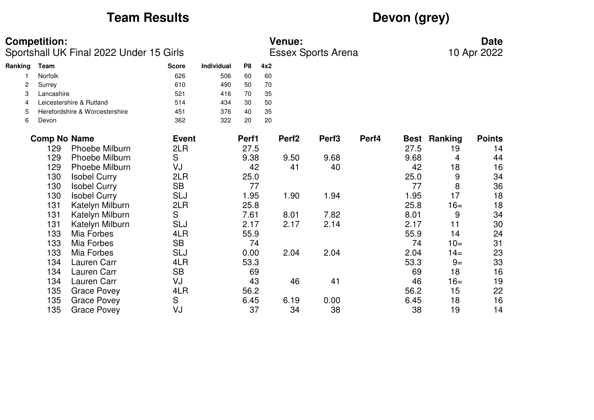## **Team Results Devon (grey)**

### **Competition: Venue: Date**

### Sportshall UK Final 2022 Under 15 Girls Essex Sports Arena 10 Apr 2022

| Ranking | Team                           | <b>Score</b> | <b>Individual</b> | P8 | 4x2 |
|---------|--------------------------------|--------------|-------------------|----|-----|
|         | <b>Norfolk</b>                 | 626          | 506               | 60 | 60  |
| 2       | Surrey                         | 610          | 490               | 50 | 70  |
| з       | Lancashire                     | 521          | 416               | 70 | 35  |
| 4       | Leicestershire & Rutland       | 514          | 434               | 30 | 50  |
| 5.      | Herefordshire & Worcestershire | 451          | 376               | 40 | 35  |
| 6       | Devon                          | 362          | 322               | 20 | 20  |
|         |                                |              |                   |    |     |

| <b>Comp No Name</b> |                     | <b>Event</b> | Perf1 | Perf <sub>2</sub> | Perf <sub>3</sub> | Perf4 |      | <b>Best Ranking</b> | <b>Points</b> |
|---------------------|---------------------|--------------|-------|-------------------|-------------------|-------|------|---------------------|---------------|
| 129                 | Phoebe Milburn      | 2LR          | 27.5  |                   |                   |       | 27.5 | 19                  | 14            |
| 129                 | Phoebe Milburn      | S            | 9.38  | 9.50              | 9.68              |       | 9.68 | 4                   | 44            |
| 129                 | Phoebe Milburn      | VJ           | 42    | 41                | 40                |       | 42   | 18                  | 16            |
| 130                 | <b>Isobel Curry</b> | 2LR          | 25.0  |                   |                   |       | 25.0 | 9                   | 34            |
| 130                 | <b>Isobel Curry</b> | <b>SB</b>    | 77    |                   |                   |       | 77   | 8                   | 36            |
| 130                 | <b>Isobel Curry</b> | <b>SLJ</b>   | 1.95  | 1.90              | 1.94              |       | 1.95 | 17                  | 18            |
| 131                 | Katelyn Milburn     | 2LR          | 25.8  |                   |                   |       | 25.8 | $16=$               | 18            |
| 131                 | Katelyn Milburn     | S            | 7.61  | 8.01              | 7.82              |       | 8.01 | 9                   | 34            |
| 131                 | Katelyn Milburn     | SLJ          | 2.17  | 2.17              | 2.14              |       | 2.17 | 11                  | 30            |
| 133                 | Mia Forbes          | 4LR          | 55.9  |                   |                   |       | 55.9 | 14                  | 24            |
| 133                 | Mia Forbes          | <b>SB</b>    | 74    |                   |                   |       | 74   | $10=$               | 31            |
| 133                 | Mia Forbes          | <b>SLJ</b>   | 0.00  | 2.04              | 2.04              |       | 2.04 | $14 =$              | 23            |
| 134                 | Lauren Carr         | 4LR          | 53.3  |                   |                   |       | 53.3 | $9=$                | 33            |
| 134                 | Lauren Carr         | <b>SB</b>    | 69    |                   |                   |       | 69   | 18                  | 16            |
| 134                 | Lauren Carr         | VJ           | 43    | 46                | 41                |       | 46   | $16=$               | 19            |
| 135                 | <b>Grace Povey</b>  | 4LR          | 56.2  |                   |                   |       | 56.2 | 15                  | 22            |
| 135                 | <b>Grace Povey</b>  | S            | 6.45  | 6.19              | 0.00              |       | 6.45 | 18                  | 16            |
| 135                 | <b>Grace Povey</b>  | VJ           | 37    | 34                | 38                |       | 38   | 19                  | 14            |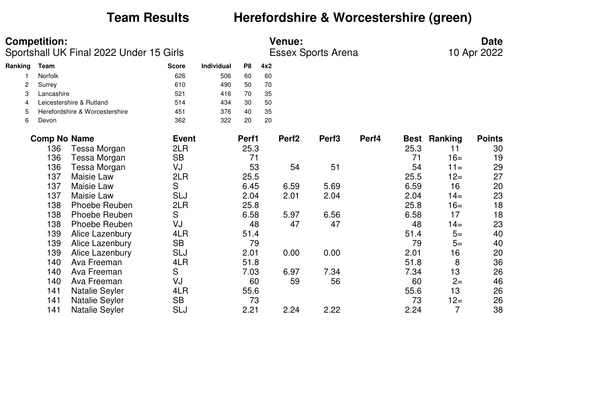## **Team Results Herefordshire & Worcestershire (green)**

**Competition:**<br> **Competition:**<br> **Date**<br> **Competition:**<br> **Date**<br> **Date**<br> **Date**<br> **Date**<br> **Date**<br> **Date**<br> **Date**<br> **Date**<br> **Date**<br> **Date**<br> **Date**<br> **Date**<br> **Date**<br> **Date**<br> **Date** Sportshall UK Final 2022 Under 15 Girls

| Ranking | Team                           | <b>Score</b> | <b>Individual</b> | P8 | 4x2 |
|---------|--------------------------------|--------------|-------------------|----|-----|
|         | <b>Norfolk</b>                 | 626          | 506               | 60 | 60  |
| 2       | Surrey                         | 610          | 490               | 50 | 70  |
| з       | Lancashire                     | 521          | 416               | 70 | 35  |
| 4       | Leicestershire & Rutland       | 514          | 434               | 30 | 50  |
| 5       | Herefordshire & Worcestershire | 451          | 376               | 40 | 35  |
| 6       | Devon                          | 362          | 322               | 20 | 20  |
|         |                                |              |                   |    |     |

| <b>Comp No Name</b> |                       | <b>Event</b> | Perf1 | Perf <sub>2</sub> | Perf <sub>3</sub> | Perf4 |      | <b>Best Ranking</b> | <b>Points</b> |
|---------------------|-----------------------|--------------|-------|-------------------|-------------------|-------|------|---------------------|---------------|
| 136                 | Tessa Morgan          | 2LR          | 25.3  |                   |                   |       | 25.3 | 11                  | 30            |
| 136                 | Tessa Morgan          | <b>SB</b>    | 71    |                   |                   |       | 71   | $16=$               | 19            |
| 136                 | Tessa Morgan          | VJ           | 53    | 54                | 51                |       | 54   | $11 =$              | 29            |
| 137                 | Maisie Law            | 2LR          | 25.5  |                   |                   |       | 25.5 | $12 =$              | 27            |
| 137                 | Maisie Law            | S            | 6.45  | 6.59              | 5.69              |       | 6.59 | 16                  | 20            |
| 137                 | Maisie Law            | <b>SLJ</b>   | 2.04  | 2.01              | 2.04              |       | 2.04 | $14=$               | 23            |
| 138                 | Phoebe Reuben         | 2LR          | 25.8  |                   |                   |       | 25.8 | $16=$               | 18            |
| 138                 | Phoebe Reuben         | S            | 6.58  | 5.97              | 6.56              |       | 6.58 | 17                  | 18            |
| 138                 | Phoebe Reuben         | VJ           | 48    | 47                | 47                |       | 48   | $14 =$              | 23            |
| 139                 | Alice Lazenbury       | 4LR          | 51.4  |                   |                   |       | 51.4 | $5=$                | 40            |
| 139                 | Alice Lazenbury       | <b>SB</b>    | 79    |                   |                   |       | 79   | $5=$                | 40            |
| 139                 | Alice Lazenbury       | SLJ          | 2.01  | 0.00              | 0.00              |       | 2.01 | 16                  | 20            |
| 140                 | Ava Freeman           | 4LR          | 51.8  |                   |                   |       | 51.8 | 8                   | 36            |
| 140                 | Ava Freeman           | S            | 7.03  | 6.97              | 7.34              |       | 7.34 | 13                  | 26            |
| 140                 | Ava Freeman           | VJ           | 60    | 59                | 56                |       | 60   | $2=$                | 46            |
| 141                 | <b>Natalie Seyler</b> | 4LR          | 55.6  |                   |                   |       | 55.6 | 13                  | 26            |
| 141                 | <b>Natalie Seyler</b> | <b>SB</b>    | 73    |                   |                   |       | 73   | $12 =$              | 26            |
| 141                 | <b>Natalie Seyler</b> | SLJ          | 2.21  | 2.24              | 2.22              |       | 2.24 |                     | 38            |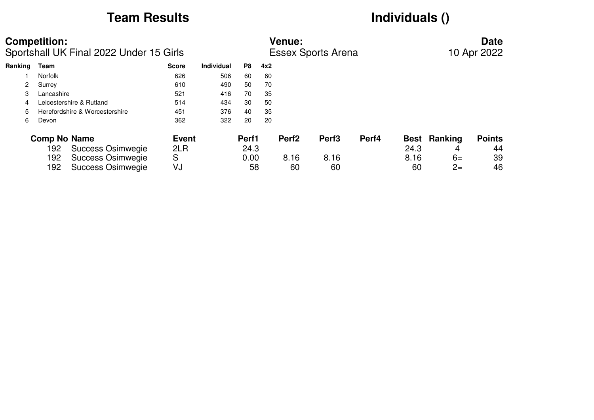## **Team Results Individuals ()**

|         | <b>Competition:</b><br>Sportshall UK Final 2022 Under 15 Girls |                                |              | <b>Venue:</b><br>Essex Sports Arena |       |     |                   |                   |       |             | <b>Date</b><br>10 Apr 2022 |               |  |
|---------|----------------------------------------------------------------|--------------------------------|--------------|-------------------------------------|-------|-----|-------------------|-------------------|-------|-------------|----------------------------|---------------|--|
| Ranking | Team                                                           |                                | <b>Score</b> | <b>Individual</b>                   | P8    | 4x2 |                   |                   |       |             |                            |               |  |
|         | <b>Norfolk</b>                                                 |                                | 626          | 506                                 | 60    | 60  |                   |                   |       |             |                            |               |  |
| 2       | Surrey                                                         |                                | 610          | 490                                 | 50    | 70  |                   |                   |       |             |                            |               |  |
| 3       | Lancashire                                                     |                                | 521          | 416                                 | 70    | 35  |                   |                   |       |             |                            |               |  |
| 4       |                                                                | Leicestershire & Rutland       | 514          | 434                                 | 30    | 50  |                   |                   |       |             |                            |               |  |
| 5.      |                                                                | Herefordshire & Worcestershire | 451          | 376                                 | 40    | 35  |                   |                   |       |             |                            |               |  |
| 6       | Devon                                                          |                                | 362          | 322                                 | 20    | 20  |                   |                   |       |             |                            |               |  |
|         | <b>Comp No Name</b>                                            |                                | <b>Event</b> |                                     | Perf1 |     | Perf <sub>2</sub> | Perf <sub>3</sub> | Perf4 | <b>Best</b> | <b>Ranking</b>             | <b>Points</b> |  |
|         | 192                                                            | <b>Success Osimwegie</b>       | 2LR          |                                     | 24.3  |     |                   |                   |       | 24.3        | 4                          | 44            |  |
|         | 192                                                            | <b>Success Osimwegie</b>       | S            |                                     | 0.00  |     | 8.16              | 8.16              |       | 8.16        | $6=$                       | 39            |  |
|         | 192                                                            | <b>Success Osimwegie</b>       | VJ           |                                     | 58    |     | 60                | 60                |       | 60          | $2=$                       | 46            |  |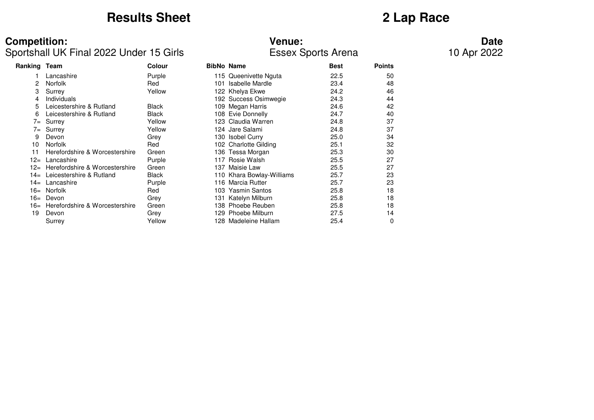## **Results Sheet 2 Lap Race**

### Sportshall UK Final 2022 Under 15 Girls Essex Sports Arena 10 Apr 2022

| <b>Competition:</b>                     | <b>Venue:</b>             | Date        |
|-----------------------------------------|---------------------------|-------------|
| Sportshall UK Final 2022 Under 15 Girls | <b>Essex Sports Arena</b> | 10 Apr 2022 |

| Ranking Team |                                | <b>Colour</b> |      | <b>BibNo Name</b>        | <b>Best</b> | <b>Points</b> |
|--------------|--------------------------------|---------------|------|--------------------------|-------------|---------------|
|              | Lancashire                     | Purple        |      | 115 Queenivette Nguta    | 22.5        | 50            |
| 2            | <b>Norfolk</b>                 | Red           | 101  | Isabelle Mardle          | 23.4        | 48            |
| 3            | Surrey                         | Yellow        |      | 122 Khelya Ekwe          | 24.2        | 46            |
| 4            | Individuals                    |               |      | 192 Success Osimwegie    | 24.3        | 44            |
| 5            | Leicestershire & Rutland       | <b>Black</b>  |      | 109 Megan Harris         | 24.6        | 42            |
| 6            | Leicestershire & Rutland       | Black         |      | 108 Evie Donnelly        | 24.7        | 40            |
| $7 =$        | Surrey                         | Yellow        |      | 123 Claudia Warren       | 24.8        | 37            |
| $7 =$        | Surrey                         | Yellow        |      | 124 Jare Salami          | 24.8        | 37            |
| 9            | Devon                          | Grey          | 130  | <b>Isobel Curry</b>      | 25.0        | 34            |
| 10           | <b>Norfolk</b>                 | Red           | 102  | <b>Charlotte Gilding</b> | 25.1        | 32            |
| 11           | Herefordshire & Worcestershire | Green         | 136. | Tessa Morgan             | 25.3        | 30            |
| $12 =$       | Lancashire                     | Purple        | 117  | Rosie Walsh              | 25.5        | 27            |
| $12 =$       | Herefordshire & Worcestershire | Green         | 137  | Maisie Law               | 25.5        | 27            |
| $14=$        | Leicestershire & Rutland       | Black         | 110  | Khara Bowlay-Williams    | 25.7        | 23            |
| $14=$        | Lancashire                     | Purple        |      | 116 Marcia Rutter        | 25.7        | 23            |
| $16 =$       | Norfolk                        | Red           | 103  | <b>Yasmin Santos</b>     | 25.8        | 18            |
| $16 =$       | Devon                          | Grey          | 131  | Katelyn Milburn          | 25.8        | 18            |
| $16 =$       | Herefordshire & Worcestershire | Green         | 138. | <b>Phoebe Reuben</b>     | 25.8        | 18            |
| 19           | Devon                          | Grey          | 129. | Phoebe Milburn           | 27.5        | 14            |
|              | Surrey                         | Yellow        | 128. | Madeleine Hallam         | 25.4        | 0             |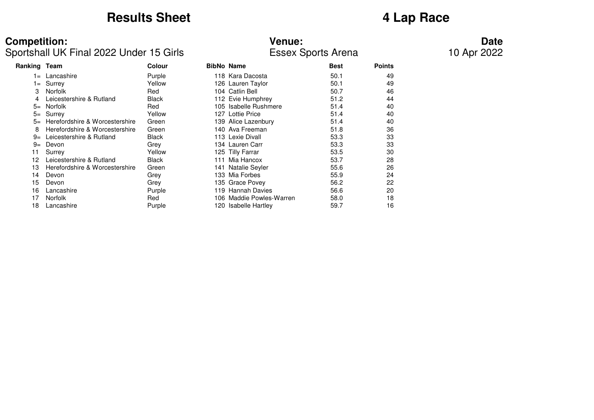## **Results Sheet 4 Lap Race**

### Sportshall UK Final 2022 Under 15 Girls Essex Sports Arena 10 Apr 2022

| <b>Competition:</b>                     | <b>Venue:</b>             | Date        |
|-----------------------------------------|---------------------------|-------------|
| Sportshall UK Final 2022 Under 15 Girls | <b>Essex Sports Arena</b> | 10 Apr 2022 |

| Ranking Team |                                | Colour       |     | <b>BibNo Name</b>        | <b>Best</b> | <b>Points</b> |
|--------------|--------------------------------|--------------|-----|--------------------------|-------------|---------------|
| $l =$        | Lancashire                     | Purple       |     | 118 Kara Dacosta         | 50.1        | 49            |
| $=$          | Surrey                         | Yellow       |     | 126 Lauren Taylor        | 50.1        | 49            |
| 3            | Norfolk                        | Red          |     | 104 Catlin Bell          | 50.7        | 46            |
| 4            | Leicestershire & Rutland       | <b>Black</b> |     | 112 Evie Humphrey        | 51.2        | 44            |
| $5=$         | Norfolk                        | Red          |     | 105 Isabelle Rushmere    | 51.4        | 40            |
| $5=$         | Surrey                         | Yellow       |     | 127 Lottie Price         | 51.4        | 40            |
| $5=$         | Herefordshire & Worcestershire | Green        |     | 139 Alice Lazenbury      | 51.4        | 40            |
| 8            | Herefordshire & Worcestershire | Green        |     | 140 Ava Freeman          | 51.8        | 36            |
| $9=$         | Leicestershire & Rutland       | <b>Black</b> |     | 113 Lexie Divall         | 53.3        | 33            |
| $9=$         | Devon                          | Grey         |     | 134 Lauren Carr          | 53.3        | 33            |
| 11           | Surrey                         | Yellow       |     | 125 Tilly Farrar         | 53.5        | 30            |
| 12           | Leicestershire & Rutland       | <b>Black</b> | 111 | Mia Hancox               | 53.7        | 28            |
| 13           | Herefordshire & Worcestershire | Green        |     | 141 Natalie Seyler       | 55.6        | 26            |
| 14           | Devon                          | Grey         |     | 133 Mia Forbes           | 55.9        | 24            |
| 15           | Devon                          | Grey         |     | 135 Grace Povey          | 56.2        | 22            |
| 16           | Lancashire                     | Purple       |     | 119 Hannah Davies        | 56.6        | 20            |
| 17           | <b>Norfolk</b>                 | Red          |     | 106 Maddie Powles-Warren | 58.0        | 18            |
| 18           | Lancashire                     | Purple       |     | 120 Isabelle Hartley     | 59.7        | 16            |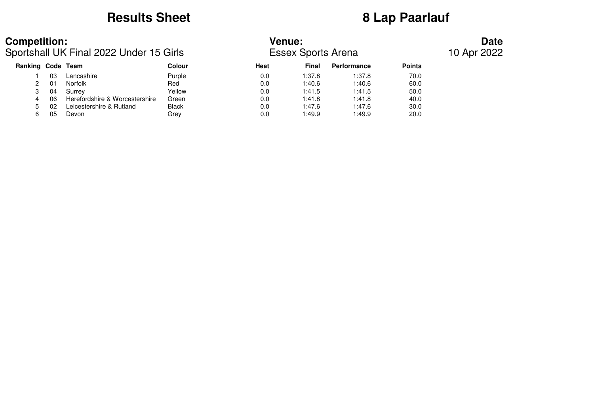## **Results Sheet 8 Lap Paarlauf**

### **Competition: Venue: Date**

Sportshall UK Final 2022 Under 15 Girls Essex Sports Arena 10 Apr 2022

| Ranking Code Team |    |                                | Colour       | Heat | Final  | <b>Performance</b> | <b>Points</b> |
|-------------------|----|--------------------------------|--------------|------|--------|--------------------|---------------|
|                   | 03 | Lancashire                     | Purple       | 0.0  | 1:37.8 | 1:37.8             | 70.0          |
|                   | 01 | <b>Norfolk</b>                 | Red          | 0.0  | 1:40.6 | 1:40.6             | 60.0          |
|                   | 04 | Surrey                         | Yellow       | 0.0  | 1:41.5 | 1:41.5             | 50.0          |
| 4                 | 06 | Herefordshire & Worcestershire | Green        | 0.0  | 1:41.8 | 1:41.8             | 40.0          |
| 5                 | 02 | Leicestershire & Rutland       | <b>Black</b> | 0.0  | 1:47.6 | 1:47.6             | 30.0          |
|                   | 05 | Devon                          | Grev         | 0.0  | 1:49.9 | 1:49.9             | 20.0          |
|                   |    |                                |              |      |        |                    |               |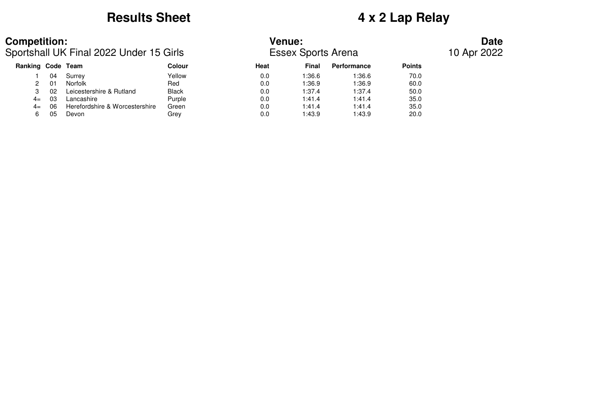## **Results Sheet 4 x 2 Lap Relay**

Sportshall UK Final 2022 Under 15 Girls Essex Sports Arena 10 Apr 2022

### **Competition: Venue: Date**

| Ranking Code Team |                |                                | Colour       | Heat | Final  | <b>Performance</b> | <b>Points</b> |
|-------------------|----------------|--------------------------------|--------------|------|--------|--------------------|---------------|
|                   | 04             | Surrev                         | Yellow       | 0.0  | 1:36.6 | 1:36.6             | 70.0          |
|                   | 0 <sup>1</sup> | Norfolk                        | Red          | 0.0  | 1:36.9 | 1:36.9             | 60.0          |
|                   | 02             | Leicestershire & Rutland       | <b>Black</b> | 0.0  | 1:37.4 | 1:37.4             | 50.0          |
| $4=$              | 03             | Lancashire                     | Purple       | 0.0  | 1:41.4 | 1:41.4             | 35.0          |
| $4=$              | 06             | Herefordshire & Worcestershire | Green        | 0.0  | 1:41.4 | 1:41.4             | 35.0          |
|                   | 05             | Devon                          | Grev         | 0.0  | 1:43.9 | 1:43.9             | 20.0          |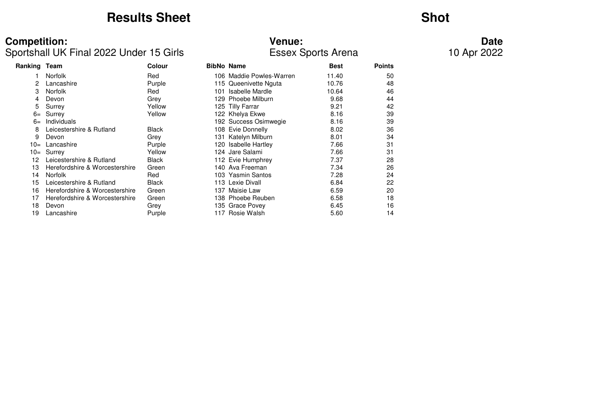### **Results Sheet**

## **Shot**

### Sportshall UK Final 2022 Under 15 Girls Essex Sports Arena 10 Apr 2022

# **Competition: Venue: Date**

| Ranking | Team                           | <b>Colour</b> |      | <b>BibNo Name</b>        | <b>Best</b> | <b>Points</b> |
|---------|--------------------------------|---------------|------|--------------------------|-------------|---------------|
|         | <b>Norfolk</b>                 | Red           |      | 106 Maddie Powles-Warren | 11.40       | 50            |
| 2       | Lancashire                     | Purple        |      | 115 Queenivette Nguta    | 10.76       | 48            |
| З       | <b>Norfolk</b>                 | Red           | 101  | <b>Isabelle Mardle</b>   | 10.64       | 46            |
| 4       | Devon                          | Grey          | 129. | Phoebe Milburn           | 9.68        | 44            |
| 5.      | Surrey                         | Yellow        |      | 125 Tilly Farrar         | 9.21        | 42            |
| $6=$    | Surrey                         | Yellow        |      | 122 Khelya Ekwe          | 8.16        | 39            |
| $6=$    | Individuals                    |               |      | 192 Success Osimwegie    | 8.16        | 39            |
| 8       | Leicestershire & Rutland       | Black         |      | 108 Evie Donnelly        | 8.02        | 36            |
| 9       | Devon                          | Grey          | 131  | Katelyn Milburn          | 8.01        | 34            |
| $10=$   | Lancashire                     | Purple        | 120  | <b>Isabelle Hartley</b>  | 7.66        | 31            |
| $10=$   | Surrey                         | Yellow        |      | 124 Jare Salami          | 7.66        | 31            |
| 12      | Leicestershire & Rutland       | <b>Black</b>  |      | 112 Evie Humphrey        | 7.37        | 28            |
| 13      | Herefordshire & Worcestershire | Green         |      | 140 Ava Freeman          | 7.34        | 26            |
| 14      | <b>Norfolk</b>                 | Red           | 103. | <b>Yasmin Santos</b>     | 7.28        | 24            |
| 15      | Leicestershire & Rutland       | <b>Black</b>  | 113  | Lexie Divall             | 6.84        | 22            |
| 16      | Herefordshire & Worcestershire | Green         | 137  | Maisie Law               | 6.59        | 20            |
| 17      | Herefordshire & Worcestershire | Green         | 138- | Phoebe Reuben            | 6.58        | 18            |
| 18      | Devon                          | Grey          |      | 135 Grace Povey          | 6.45        | 16            |
| 19      | Lancashire                     | Purple        | 117. | Rosie Walsh              | 5.60        | 14            |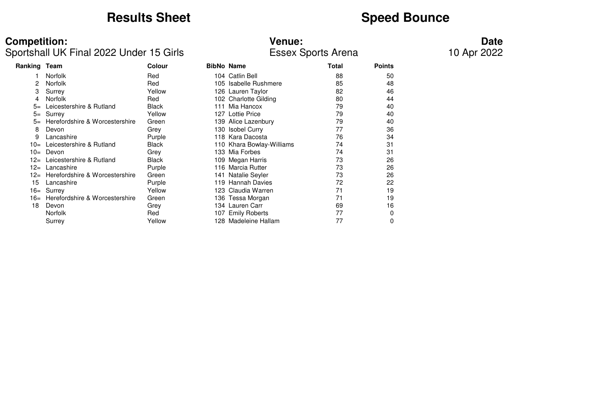## **Results Sheet**<br> **Speed Bounce**

### Sportshall UK Final 2022 Under 15 Girls Essex Sports Arena 10 Apr 2022

| <b>Competition:</b>                     | <b>Venue:</b>             | Date        |
|-----------------------------------------|---------------------------|-------------|
| Sportshall UK Final 2022 Under 15 Girls | <b>Essex Sports Arena</b> | 10 Apr 2022 |

| Ranking Team |                                | <b>Colour</b> |     | <b>BibNo Name</b>         | <b>Total</b> | <b>Points</b> |
|--------------|--------------------------------|---------------|-----|---------------------------|--------------|---------------|
|              | <b>Norfolk</b>                 | Red           |     | 104 Catlin Bell           | 88           | 50            |
| 2            | <b>Norfolk</b>                 | Red           |     | 105 Isabelle Rushmere     | 85           | 48            |
| 3            | Surrey                         | Yellow        |     | 126 Lauren Taylor         | 82           | 46            |
| 4            | <b>Norfolk</b>                 | Red           |     | 102 Charlotte Gilding     | 80           | 44            |
| $5=$         | Leicestershire & Rutland       | Black         | 111 | Mia Hancox                | 79           | 40            |
| $5=$         | Surrey                         | Yellow        | 127 | <b>Lottie Price</b>       | 79           | 40            |
| $5=$         | Herefordshire & Worcestershire | Green         |     | 139 Alice Lazenbury       | 79           | 40            |
| 8            | Devon                          | Grey          |     | 130 Isobel Curry          | 77           | 36            |
| 9            | Lancashire                     | Purple        |     | 118 Kara Dacosta          | 76           | 34            |
| $10=$        | Leicestershire & Rutland       | <b>Black</b>  |     | 110 Khara Bowlay-Williams | 74           | 31            |
| $10=$        | Devon                          | Grey          |     | 133 Mia Forbes            | 74           | 31            |
| $12 =$       | Leicestershire & Rutland       | <b>Black</b>  |     | 109 Megan Harris          | 73           | 26            |
| $12 =$       | Lancashire                     | Purple        |     | 116 Marcia Rutter         | 73           | 26            |
| $12 =$       | Herefordshire & Worcestershire | Green         | 141 | <b>Natalie Seyler</b>     | 73           | 26            |
| 15           | Lancashire                     | Purple        |     | 119 Hannah Davies         | 72           | 22            |
| 16=          | Surrey                         | Yellow        |     | 123 Claudia Warren        | 71           | 19            |
| $16 =$       | Herefordshire & Worcestershire | Green         |     | 136 Tessa Morgan          | 71           | 19            |
| 18           | Devon                          | Grey          |     | 134 Lauren Carr           | 69           | 16            |
|              | Norfolk                        | Red           |     | 107 Emily Roberts         | 77           | 0             |
|              | Surrey                         | Yellow        |     | 128 Madeleine Hallam      | 77           | 0             |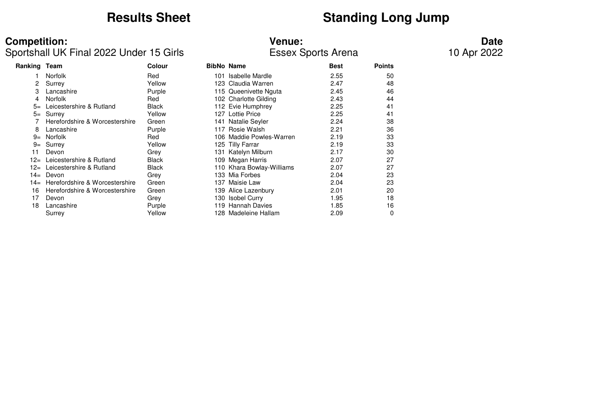## **Results Sheet**<br> **Standing Long Jump**

### **Competition: Venue: Date**

### Sportshall UK Final 2022 Under 15 Girls Essex Sports Arena 10 Apr 2022

| Ranking Team |                                | Colour       |      | <b>BibNo Name</b>         | <b>Best</b> | <b>Points</b> |
|--------------|--------------------------------|--------------|------|---------------------------|-------------|---------------|
|              | Norfolk                        | Red          | 101  | Isabelle Mardle           | 2.55        | 50            |
| 2            | Surrey                         | Yellow       |      | 123 Claudia Warren        | 2.47        | 48            |
| 3            | Lancashire                     | Purple       |      | 115 Queenivette Nguta     | 2.45        | 46            |
| 4            | <b>Norfolk</b>                 | Red          |      | 102 Charlotte Gilding     | 2.43        | 44            |
| $5=$         | Leicestershire & Rutland       | <b>Black</b> |      | 112 Evie Humphrey         | 2.25        | 41            |
| $5=$         | Surrey                         | Yellow       | 127. | <b>Lottie Price</b>       | 2.25        | 41            |
|              | Herefordshire & Worcestershire | Green        | 141. | <b>Natalie Sevler</b>     | 2.24        | 38            |
| 8            | Lancashire                     | Purple       | 117  | Rosie Walsh               | 2.21        | 36            |
| $9=$         | Norfolk                        | Red          |      | 106 Maddie Powles-Warren  | 2.19        | 33            |
| $9 =$        | Surrey                         | Yellow       |      | 125 Tilly Farrar          | 2.19        | 33            |
| 11           | Devon                          | Grey         | 131. | Katelyn Milburn           | 2.17        | 30            |
| $12 =$       | Leicestershire & Rutland       | <b>Black</b> |      | 109 Megan Harris          | 2.07        | 27            |
| $12 =$       | Leicestershire & Rutland       | Black        |      | 110 Khara Bowlay-Williams | 2.07        | 27            |
| $14 =$       | Devon                          | Grey         |      | 133 Mia Forbes            | 2.04        | 23            |
| $14=$        | Herefordshire & Worcestershire | Green        | 137  | Maisie Law                | 2.04        | 23            |
| 16           | Herefordshire & Worcestershire | Green        | 139. | Alice Lazenbury           | 2.01        | 20            |
| 17           | Devon                          | Grey         |      | 130 Isobel Curry          | 1.95        | 18            |
| 18           | Lancashire                     | Purple       | 119  | <b>Hannah Davies</b>      | 1.85        | 16            |
|              | Surrey                         | Yellow       |      | 128 Madeleine Hallam      | 2.09        | 0             |
|              |                                |              |      |                           |             |               |